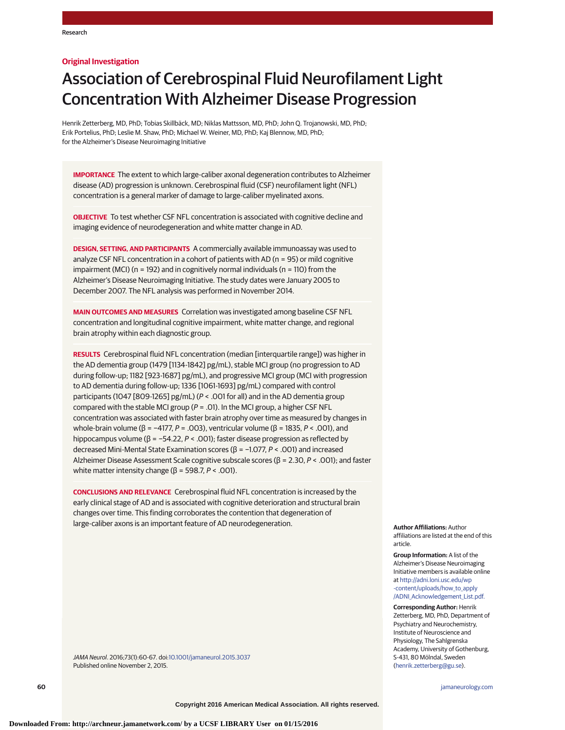## **Original Investigation**

# Association of Cerebrospinal Fluid Neurofilament Light Concentration With Alzheimer Disease Progression

Henrik Zetterberg, MD, PhD; Tobias Skillbäck, MD; Niklas Mattsson, MD, PhD; John Q. Trojanowski, MD, PhD; Erik Portelius, PhD; Leslie M. Shaw, PhD; Michael W. Weiner, MD, PhD; Kaj Blennow, MD, PhD; for the Alzheimer's Disease Neuroimaging Initiative

**IMPORTANCE** The extent to which large-caliber axonal degeneration contributes to Alzheimer disease (AD) progression is unknown. Cerebrospinal fluid (CSF) neurofilament light (NFL) concentration is a general marker of damage to large-caliber myelinated axons.

**OBJECTIVE** To test whether CSF NFL concentration is associated with cognitive decline and imaging evidence of neurodegeneration and white matter change in AD.

**DESIGN, SETTING, AND PARTICIPANTS** A commercially available immunoassay was used to analyze CSF NFL concentration in a cohort of patients with AD (n = 95) or mild cognitive impairment (MCI) (n = 192) and in cognitively normal individuals (n = 110) from the Alzheimer's Disease Neuroimaging Initiative. The study dates were January 2005 to December 2007. The NFL analysis was performed in November 2014.

**MAIN OUTCOMES AND MEASURES** Correlation was investigated among baseline CSF NFL concentration and longitudinal cognitive impairment, white matter change, and regional brain atrophy within each diagnostic group.

**RESULTS** Cerebrospinal fluid NFL concentration (median [interquartile range]) was higher in the AD dementia group (1479 [1134-1842] pg/mL), stable MCI group (no progression to AD during follow-up; 1182 [923-1687] pg/mL), and progressive MCI group (MCI with progression to AD dementia during follow-up; 1336 [1061-1693] pg/mL) compared with control participants (1047 [809-1265] pg/mL) (P < .001 for all) and in the AD dementia group compared with the stable MCI group ( $P = .01$ ). In the MCI group, a higher CSF NFL concentration was associated with faster brain atrophy over time as measured by changes in whole-brain volume (β = -4177, P = .003), ventricular volume (β = 1835, P < .001), and hippocampus volume (β = −54.22, P < .001); faster disease progression as reflected by decreased Mini-Mental State Examination scores (β = −1.077, P < .001) and increased Alzheimer Disease Assessment Scale cognitive subscale scores (β = 2.30, P < .001); and faster white matter intensity change ( $β = 598.7, P < .001$ ).

**CONCLUSIONS AND RELEVANCE** Cerebrospinal fluid NFL concentration is increased by the early clinical stage of AD and is associated with cognitive deterioration and structural brain changes over time. This finding corroborates the contention that degeneration of large-caliber axons is an important feature of AD neurodegeneration.

**Author Affiliations:** Author affiliations are listed at the end of this article.

**Group Information:** A list of the Alzheimer's Disease Neuroimaging Initiative members is available online at [http://adni.loni.usc.edu/wp](http://adni.loni.usc.edu/wp-content/uploads/how_to_apply/ADNI_Acknowledgement_List.pdf) [-content/uploads/how\\_to\\_apply](http://adni.loni.usc.edu/wp-content/uploads/how_to_apply/ADNI_Acknowledgement_List.pdf) [/ADNI\\_Acknowledgement\\_List.pdf.](http://adni.loni.usc.edu/wp-content/uploads/how_to_apply/ADNI_Acknowledgement_List.pdf)

**Corresponding Author:** Henrik Zetterberg, MD, PhD, Department of Psychiatry and Neurochemistry, Institute of Neuroscience and Physiology, The Sahlgrenska Academy, University of Gothenburg, S-431, 80 Mölndal, Sweden [\(henrik.zetterberg@gu.se\)](mailto:henrik.zetterberg@gu.se).

JAMA Neurol. 2016;73(1):60-67. doi[:10.1001/jamaneurol.2015.3037](http://jama.jamanetwork.com/article.aspx?doi=10.1001/jamaneurol.2015.3037&utm_campaign=articlePDF%26utm_medium=articlePDFlink%26utm_source=articlePDF%26utm_content=jamaneurol.2015.3037) Published online November 2, 2015.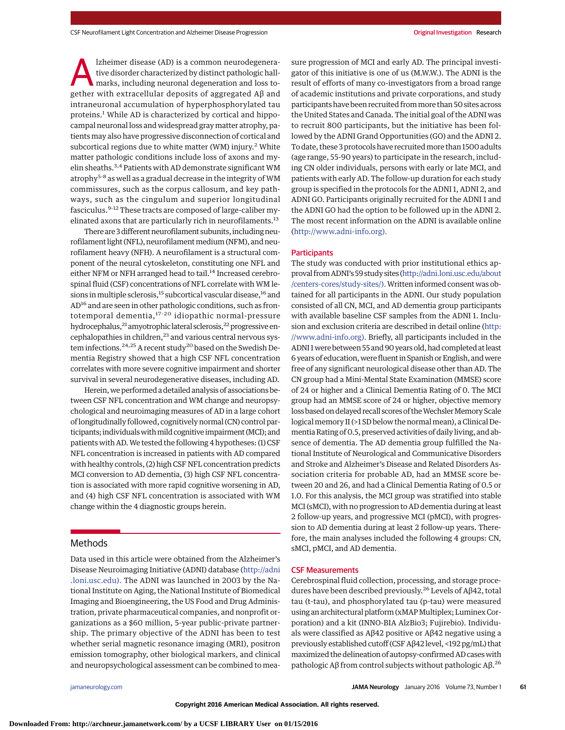Exheimer disease (AD) is a common neurodegenera-<br>tive disorder characterized by distinct pathologic hall-<br>marks, including neuronal degeneration and loss to-<br>gether with extracellular denosits of aggregated A8 and tive disorder characterized by distinct pathologic hallgether with extracellular deposits of aggregated Aβ and intraneuronal accumulation of hyperphosphorylated tau proteins.<sup>1</sup> While AD is characterized by cortical and hippocampal neuronal loss and widespread gray matter atrophy, patients may also have progressive disconnection of cortical and subcortical regions due to white matter (WM) injury.<sup>2</sup> White matter pathologic conditions include loss of axons and myelin sheaths.3,4 Patients with AD demonstrate significant WM atrophy<sup>5-8</sup> as well as a gradual decrease in the integrity of WM commissures, such as the corpus callosum, and key pathways, such as the cingulum and superior longitudinal fasciculus.9-12 These tracts are composed of large-caliber myelinated axons that are particularly rich in neurofilaments.<sup>13</sup>

There are 3 different neurofilament subunits, including neurofilament light (NFL), neurofilament medium (NFM), and neurofilament heavy (NFH). A neurofilament is a structural component of the neural cytoskeleton, constituting one NFL and either NFM or NFH arranged head to tail.<sup>14</sup> Increased cerebrospinal fluid (CSF) concentrations of NFL correlate with WM lesions in multiple sclerosis,<sup>15</sup> subcortical vascular disease,<sup>16</sup> and AD16 and are seen in other pathologic conditions, such as frontotemporal dementia,<sup>17-20</sup> idiopathic normal-pressure hydrocephalus,<sup>21</sup> amyotrophic lateral sclerosis,<sup>22</sup> progressive encephalopathies in children,<sup>23</sup> and various central nervous system infections.<sup>24,25</sup> A recent study<sup>20</sup> based on the Swedish Dementia Registry showed that a high CSF NFL concentration correlates with more severe cognitive impairment and shorter survival in several neurodegenerative diseases, including AD.

Herein,we performed a detailed analysis of associations between CSF NFL concentration and WM change and neuropsychological and neuroimaging measures of AD in a large cohort of longitudinally followed, cognitively normal (CN) control participants; individualswithmild cognitive impairment (MCI); and patients with AD.We tested the following 4 hypotheses: (1) CSF NFL concentration is increased in patients with AD compared with healthy controls, (2) high CSF NFL concentration predicts MCI conversion to AD dementia, (3) high CSF NFL concentration is associated with more rapid cognitive worsening in AD, and (4) high CSF NFL concentration is associated with WM change within the 4 diagnostic groups herein.

## Methods

Data used in this article were obtained from the Alzheimer's Disease Neuroimaging Initiative (ADNI) database [\(http://adni](http://adni.loni.usc.edu) [.loni.usc.edu\).](http://adni.loni.usc.edu) The ADNI was launched in 2003 by the National Institute on Aging, the National Institute of Biomedical Imaging and Bioengineering, the US Food and Drug Administration, private pharmaceutical companies, and nonprofit organizations as a \$60 million, 5-year public-private partnership. The primary objective of the ADNI has been to test whether serial magnetic resonance imaging (MRI), positron emission tomography, other biological markers, and clinical and neuropsychological assessment can be combined to measure progression of MCI and early AD. The principal investigator of this initiative is one of us (M.W.W.). The ADNI is the result of efforts of many co-investigators from a broad range of academic institutions and private corporations, and study participants have been recruited frommore than 50 sites across the United States and Canada. The initial goal of the ADNI was to recruit 800 participants, but the initiative has been followed by the ADNI Grand Opportunities (GO) and the ADNI 2. To date, these 3 protocols have recruited more than 1500 adults (age range, 55-90 years) to participate in the research, including CN older individuals, persons with early or late MCI, and patients with early AD. The follow-up duration for each study group is specified in the protocols for the ADNI 1, ADNI 2, and ADNI GO. Participants originally recruited for the ADNI 1 and the ADNI GO had the option to be followed up in the ADNI 2. The most recent information on the ADNI is available online [\(http://www.adni-info.org\).](http://www.adni-info.org)

## **Participants**

The study was conducted with prior institutional ethics approval from ADNI's 59 study sites [\(http://adni.loni.usc.edu/about](http://adni.loni.usc.edu/about/centers-cores/study-sites/) [/centers-cores/study-sites/\).W](http://adni.loni.usc.edu/about/centers-cores/study-sites/)ritten informed consent was obtained for all participants in the ADNI. Our study population consisted of all CN, MCI, and AD dementia group participants with available baseline CSF samples from the ADNI 1. Inclusion and exclusion criteria are described in detail online [\(http:](http://www.adni-info.org) [//www.adni-info.org\).](http://www.adni-info.org) Briefly, all participants included in the ADNI 1were between 55 and 90 years old, had completed at least 6 years of education,were fluent in Spanish or English, andwere free of any significant neurological disease other than AD. The CN group had a Mini-Mental State Examination (MMSE) score of 24 or higher and a Clinical Dementia Rating of 0. The MCI group had an MMSE score of 24 or higher, objective memory loss based on delayed recall scores of the Wechsler Memory Scale logical memory II (>1 SD below the normal mean), a Clinical Dementia Rating of 0.5, preserved activities of daily living, and absence of dementia. The AD dementia group fulfilled the National Institute of Neurological and Communicative Disorders and Stroke and Alzheimer's Disease and Related Disorders Association criteria for probable AD, had an MMSE score between 20 and 26, and had a Clinical Dementia Rating of 0.5 or 1.0. For this analysis, the MCI group was stratified into stable MCI (sMCI), with no progression to AD dementia during at least 2 follow-up years, and progressive MCI (pMCI), with progression to AD dementia during at least 2 follow-up years. Therefore, the main analyses included the following 4 groups: CN, sMCI, pMCI, and AD dementia.

#### CSF Measurements

Cerebrospinal fluid collection, processing, and storage procedures have been described previously.<sup>26</sup> Levels of Aβ42, total tau (t-tau), and phosphorylated tau (p-tau) were measured using an architectural platform (xMAPMultiplex; Luminex Corporation) and a kit (INNO-BIA AlzBio3; Fujirebio). Individuals were classified as Aβ42 positive or Aβ42 negative using a previously established cutoff (CSF Aβ42 level, <192 pg/mL) that maximized the delineation of autopsy-confirmed AD caseswith pathologic Aβ from control subjects without pathologic Aβ.<sup>26</sup>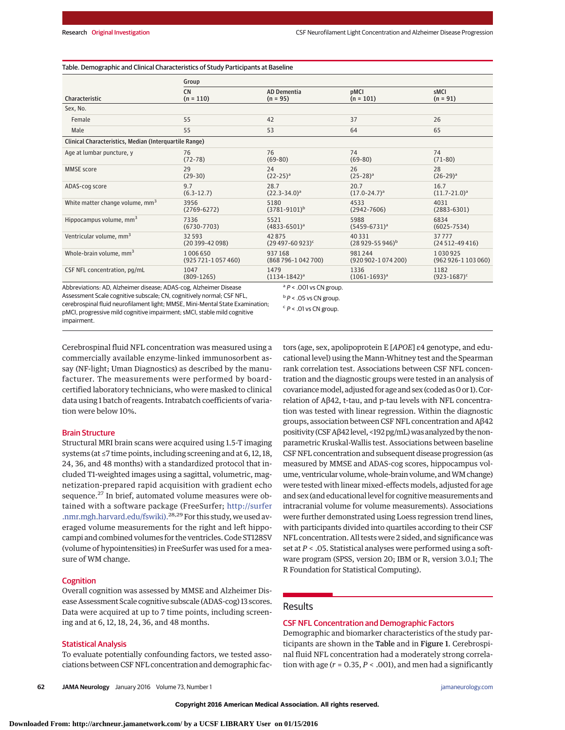| Table. Demographic and Clinical Characteristics of Study Participants at Baseline |  |
|-----------------------------------------------------------------------------------|--|
|-----------------------------------------------------------------------------------|--|

| Characteristic                                                    | Group                    |                                  |                            |                      |  |
|-------------------------------------------------------------------|--------------------------|----------------------------------|----------------------------|----------------------|--|
|                                                                   | <b>CN</b><br>$(n = 110)$ | <b>AD Dementia</b><br>$(n = 95)$ | <b>DMCI</b><br>$(n = 101)$ | sMCI<br>$(n = 91)$   |  |
| Sex, No.                                                          |                          |                                  |                            |                      |  |
| Female                                                            | 55                       | 42                               | 37                         | 26                   |  |
| Male                                                              | 55                       | 53                               | 64                         | 65                   |  |
| Clinical Characteristics, Median (Interquartile Range)            |                          |                                  |                            |                      |  |
| Age at lumbar puncture, y                                         | 76                       | 76                               | 74                         | 74                   |  |
|                                                                   | $(72 - 78)$              | $(69-80)$                        | $(69-80)$                  | $(71-80)$            |  |
| <b>MMSE</b> score                                                 | 29                       | 24                               | 26                         | 28                   |  |
|                                                                   | $(29-30)$                | $(22-25)^a$                      | $(25-28)^a$                | $(26-29)^a$          |  |
| ADAS-cog score                                                    | 9.7                      | 28.7                             | 20.7                       | 16.7                 |  |
|                                                                   | $(6.3 - 12.7)$           | $(22.3 - 34.0)^a$                | $(17.0 - 24.7)^a$          | $(11.7 - 21.0)^a$    |  |
| White matter change volume, mm <sup>3</sup>                       | 3956                     | 5180                             | 4533                       | 4031                 |  |
|                                                                   | $(2769 - 6272)$          | $(3781 - 9101)^b$                | $(2942 - 7606)$            | $(2883 - 6301)$      |  |
| Hippocampus volume, mm <sup>3</sup>                               | 7336                     | 5521                             | 5988                       | 6834                 |  |
|                                                                   | $(6730 - 7703)$          | $(4833 - 6501)^a$                | $(5459 - 6731)^a$          | $(6025 - 7534)$      |  |
| Ventricular volume, mm <sup>3</sup>                               | 32 5 9 3                 | 42875                            | 40331                      | 37777                |  |
|                                                                   | $(20399 - 42098)$        | $(29497 - 60923)^c$              | $(28929 - 55946)^b$        | $(24512 - 49416)$    |  |
| Whole-brain volume, mm <sup>3</sup>                               | 1006650                  | 937168                           | 981244                     | 1030925              |  |
|                                                                   | $(925721 - 1057460)$     | (868 796-1042 700)               | $(920902 - 1074200)$       | $(962926 - 1103060)$ |  |
| CSF NFL concentration, pg/mL                                      | 1047                     | 1479                             | 1336                       | 1182                 |  |
|                                                                   | $(809-1265)$             | $(1134-1842)^a$                  | $(1061 - 1693)^a$          | $(923 - 1687)^c$     |  |
| Abbreviations: AD. Alzheimer disease: ADAS-cog. Alzheimer Disease |                          | $A^a P$ < .001 vs CN group.      |                            |                      |  |

Abbreviations: AD, Alzheimer disease; ADAS-cog, Alzheimer Disease Assessment Scale cognitive subscale; CN, cognitively normal; CSF NFL, cerebrospinal fluid neurofilament light; MMSE, Mini-Mental State Examination; pMCI, progressive mild cognitive impairment; sMCI, stable mild cognitive impairment.

 $\binom{b}{P}$  < .05 vs CN group.  $c$   $P$  < .01 vs CN group.

Cerebrospinal fluid NFL concentration was measured using a commercially available enzyme-linked immunosorbent assay (NF-light; Uman Diagnostics) as described by the manufacturer. The measurements were performed by boardcertified laboratory technicians, who were masked to clinical data using 1 batch of reagents. Intrabatch coefficients of variation were below 10%.

#### Brain Structure

Structural MRI brain scans were acquired using 1.5-T imaging systems (at ≤7 time points, including screening and at 6, 12, 18, 24, 36, and 48 months) with a standardized protocol that included T1-weighted images using a sagittal, volumetric, magnetization-prepared rapid acquisition with gradient echo sequence.<sup>27</sup> In brief, automated volume measures were obtained with a software package (FreeSurfer; [http://surfer](http://surfer.nmr.mgh.harvard.edu/fswiki) .nmr.mgh.harvard.edu/fswiki).<sup>28,29</sup> For this study, we used averaged volume measurements for the right and left hippocampi and combined volumes for the ventricles. Code ST128SV (volume of hypointensities) in FreeSurfer was used for a measure of WM change.

#### **Cognition**

Overall cognition was assessed by MMSE and Alzheimer Disease Assessment Scale cognitive subscale (ADAS-cog) 13 scores. Data were acquired at up to 7 time points, including screening and at 6, 12, 18, 24, 36, and 48 months.

## Statistical Analysis

To evaluate potentially confounding factors, we tested associations between CSF NFL concentration and demographic factors (age, sex, apolipoprotein E [*APOE*] ε4 genotype, and educational level) using the Mann-Whitney test and the Spearman rank correlation test. Associations between CSF NFL concentration and the diagnostic groups were tested in an analysis of covariance model, adjusted for age and sex (coded as 0 or 1). Correlation of Aβ42, t-tau, and p-tau levels with NFL concentration was tested with linear regression. Within the diagnostic groups, association between CSF NFL concentration and Aβ42 positivity (CSF Aβ42 level, <192 pg/mL) was analyzed by the nonparametric Kruskal-Wallis test. Associations between baseline CSF NFL concentration and subsequent disease progression (as measured by MMSE and ADAS-cog scores, hippocampus volume, ventricular volume, whole-brain volume, and WM change) were tested with linear mixed-effects models, adjusted for age and sex (and educational level for cognitive measurements and intracranial volume for volume measurements). Associations were further demonstrated using Loess regression trend lines, with participants divided into quartiles according to their CSF NFL concentration. All tests were 2 sided, and significance was set at *P* < .05. Statistical analyses were performed using a software program (SPSS, version 20; IBM or R, version 3.0.1; The R Foundation for Statistical Computing).

## **Results**

## CSF NFL Concentration and Demographic Factors

Demographic and biomarker characteristics of the study participants are shown in the Table and in Figure 1. Cerebrospinal fluid NFL concentration had a moderately strong correlation with age  $(r = 0.35, P < .001)$ , and men had a significantly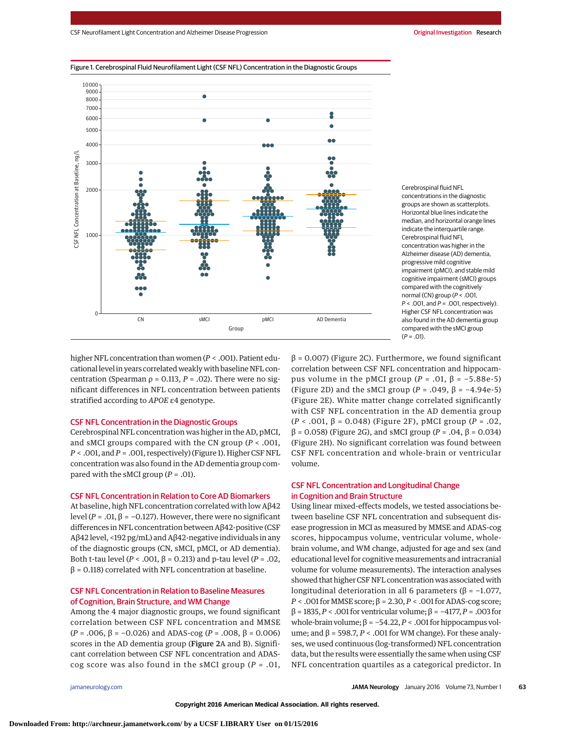higher NFL concentration than women (*P* < .001). Patient educational level in years correlated weakly with baseline NFL concentration (Spearman  $ρ = 0.113$ ,  $P = .02$ ). There were no significant differences in NFL concentration between patients stratified according to *APOE* ε4 genotype.

# CSF NFL Concentration in the Diagnostic Groups

Cerebrospinal NFL concentration was higher in the AD, pMCI, and sMCI groups compared with the CN group (*P* < .001, *P* < .001, and*P* = .001, respectively) (Figure 1). Higher CSF NFL concentration was also found in the AD dementia group compared with the sMCI group (*P* = .01).

# CSF NFL Concentration in Relation to Core AD Biomarkers

At baseline, high NFL concentration correlated with low Aβ42 level (*P* = .01, β = −0.127). However, there were no significant differences in NFL concentration between Aβ42-positive (CSF Aβ42 level, <192 pg/mL) and Aβ42-negative individuals in any of the diagnostic groups (CN, sMCI, pMCI, or AD dementia). Both t-tau level (*P* < .001, β = 0.213) and p-tau level (*P* = .02, β = 0.118) correlated with NFL concentration at baseline.

# CSF NFL Concentration in Relation to Baseline Measures of Cognition, Brain Structure, and WM Change

Among the 4 major diagnostic groups, we found significant correlation between CSF NFL concentration and MMSE (*P* = .006, β = −0.026) and ADAS-cog (*P* = .008, β = 0.006) scores in the AD dementia group (Figure 2A and B). Significant correlation between CSF NFL concentration and ADAScog score was also found in the sMCI group (*P* = .01,  $β = 0.007$ ) (Figure 2C). Furthermore, we found significant correlation between CSF NFL concentration and hippocampus volume in the pMCI group (*P* = .01, β = −5.88e-5) (Figure 2D) and the sMCI group (*P* = .049, β = −4.94e-5) (Figure 2E). White matter change correlated significantly with CSF NFL concentration in the AD dementia group (*P* < .001, β = 0.048) (Figure 2F), pMCI group (*P* = .02, β = 0.058) (Figure 2G), and sMCI group (*P* = .04, β = 0.034) (Figure 2H). No significant correlation was found between CSF NFL concentration and whole-brain or ventricular volume.

 $(P = .01)$ .

# CSF NFL Concentration and Longitudinal Change in Cognition and Brain Structure

Using linear mixed-effects models, we tested associations between baseline CSF NFL concentration and subsequent disease progression in MCI as measured by MMSE and ADAS-cog scores, hippocampus volume, ventricular volume, wholebrain volume, and WM change, adjusted for age and sex (and educational level for cognitive measurements and intracranial volume for volume measurements). The interaction analyses showed that higher CSF NFL concentration was associated with longitudinal deterioration in all 6 parameters ( $β = -1.077$ ,  $P < .001$  for MMSE score;  $\beta = 2.30, P < .001$  for ADAS-cog score; β = 1835,*P* < .001 for ventricular volume; β = −4177,*P* = .003 for whole-brain volume;  $β = -54.22$ ,  $P < .001$  for hippocampus volume; and  $β = 598.7, P < .001$  for WM change). For these analyses, we used continuous (log-transformed) NFL concentration data, but the results were essentially the same when using CSF NFL concentration quartiles as a categorical predictor. In



Cerebrospinal fluid NFL concentrations in the diagnostic groups are shown as scatterplots. Horizontal blue lines indicate the median, and horizontal orange lines indicate the interquartile range. Cerebrospinal fluid NFL concentration was higher in the Alzheimer disease (AD) dementia, progressive mild cognitive impairment (pMCI), and stable mild cognitive impairment (sMCI) groups compared with the cognitively normal (CN) group ( $P < .001$ .  $P < .001$ , and  $P = .001$ , respectively). Higher CSF NFL concentration was also found in the AD dementia group compared with the sMCI group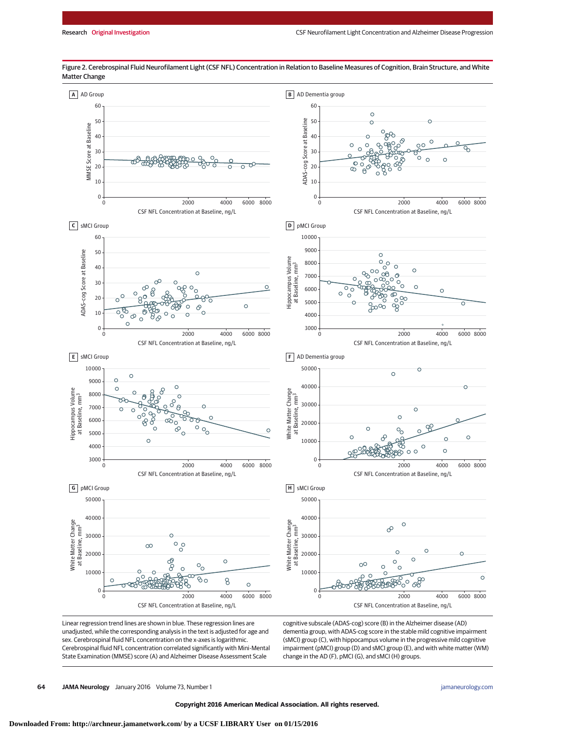

Figure 2. Cerebrospinal Fluid Neurofilament Light (CSF NFL) Concentration in Relation to Baseline Measures of Cognition, Brain Structure, and White Matter Change

Linear regression trend lines are shown in blue. These regression lines are unadjusted, while the corresponding analysis in the text is adjusted for age and sex. Cerebrospinal fluid NFL concentration on the x-axes is logarithmic. Cerebrospinal fluid NFL concentration correlated significantly with Mini-Mental State Examination (MMSE) score (A) and Alzheimer Disease Assessment Scale

cognitive subscale (ADAS-cog) score (B) in the Alzheimer disease (AD) dementia group, with ADAS-cog score in the stable mild cognitive impairment (sMCI) group (C), with hippocampus volume in the progressive mild cognitive impairment (pMCI) group (D) and sMCI group (E), and with white matter (WM) change in the AD (F), pMCI (G), and sMCI (H) groups.

**64 JAMA Neurology** January 2016 Volume 73, Number 1 **(Reprinted)** [jamaneurology.com](http://www.jamaneurology.com/?utm_campaign=articlePDF%26utm_medium=articlePDFlink%26utm_source=articlePDF%26utm_content=jamaneurol.2015.3037)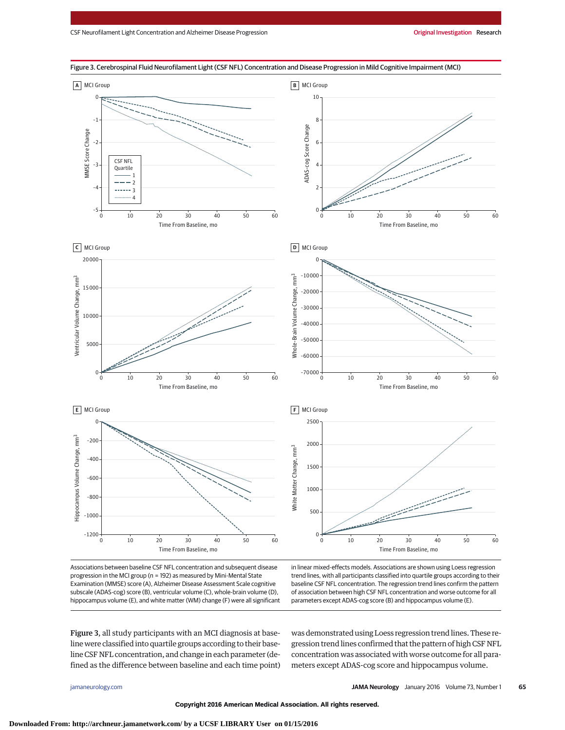

Associations between baseline CSF NFL concentration and subsequent disease progression in the MCI group (n = 192) as measured by Mini-Mental State Examination (MMSE) score (A), Alzheimer Disease Assessment Scale cognitive subscale (ADAS-cog) score (B), ventricular volume (C), whole-brain volume (D), hippocampus volume (E), and white matter (WM) change (F) were all significant in linear mixed-effects models. Associations are shown using Loess regression trend lines, with all participants classified into quartile groups according to their baseline CSF NFL concentration. The regression trend lines confirm the pattern of association between high CSF NFL concentration and worse outcome for all parameters except ADAS-cog score (B) and hippocampus volume (E).

Figure 3, all study participants with an MCI diagnosis at baseline were classified into quartile groups according to their baseline CSF NFL concentration, and change in each parameter (defined as the difference between baseline and each time point) was demonstrated using Loess regression trend lines. These regression trend lines confirmed that the pattern of high CSF NFL concentration was associated with worse outcome for all parameters except ADAS-cog score and hippocampus volume.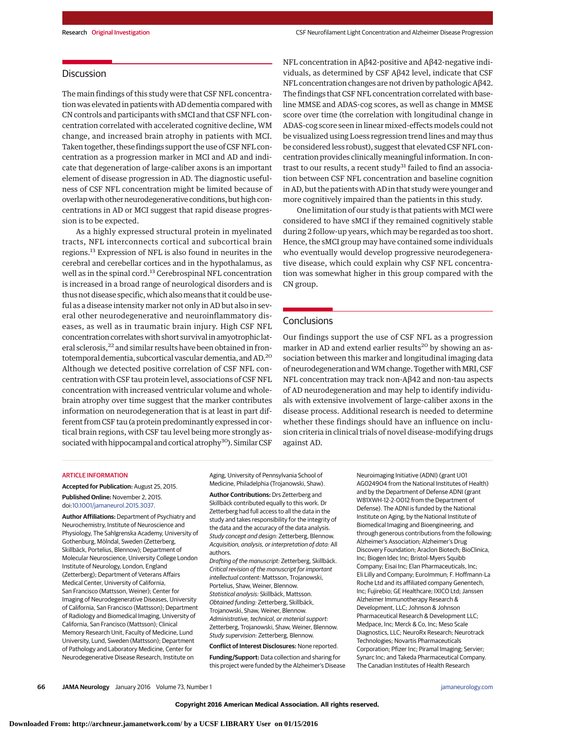# **Discussion**

The main findings of this study were that CSF NFL concentration was elevated in patients with AD dementia compared with CN controls and participants with sMCI and that CSF NFL concentration correlated with accelerated cognitive decline, WM change, and increased brain atrophy in patients with MCI. Taken together, these findings support the use of CSF NFL concentration as a progression marker in MCI and AD and indicate that degeneration of large-caliber axons is an important element of disease progression in AD. The diagnostic usefulness of CSF NFL concentration might be limited because of overlap with other neurodegenerative conditions, but high concentrations in AD or MCI suggest that rapid disease progression is to be expected.

As a highly expressed structural protein in myelinated tracts, NFL interconnects cortical and subcortical brain regions.<sup>13</sup> Expression of NFL is also found in neurites in the cerebral and cerebellar cortices and in the hypothalamus, as well as in the spinal cord.<sup>13</sup> Cerebrospinal NFL concentration is increased in a broad range of neurological disorders and is thus not disease specific, which alsomeans that it could be useful as a disease intensity marker not only in AD but also in several other neurodegenerative and neuroinflammatory diseases, as well as in traumatic brain injury. High CSF NFL concentration correlateswith short survival in amyotrophic lateral sclerosis,<sup>22</sup> and similar results have been obtained in frontotemporal dementia, subcortical vascular dementia, and AD.20 Although we detected positive correlation of CSF NFL concentration with CSF tau protein level, associations of CSF NFL concentration with increased ventricular volume and wholebrain atrophy over time suggest that the marker contributes information on neurodegeneration that is at least in part different from CSF tau (a protein predominantly expressed in cortical brain regions, with CSF tau level being more strongly associated with hippocampal and cortical atrophy<sup>30</sup>). Similar CSF NFL concentration in Aβ42-positive and Aβ42-negative individuals, as determined by CSF Aβ42 level, indicate that CSF NFL concentration changes are not driven by pathologic Aβ42. The findings that CSF NFL concentration correlated with baseline MMSE and ADAS-cog scores, as well as change in MMSE score over time (the correlation with longitudinal change in ADAS-cog score seen in linear mixed-effects models could not be visualized using Loess regression trend lines and may thus be considered less robust), suggest that elevated CSF NFL concentration provides clinically meaningful information. In contrast to our results, a recent study<sup>31</sup> failed to find an association between CSF NFL concentration and baseline cognition in AD, but the patients with AD in that study were younger and more cognitively impaired than the patients in this study.

One limitation of our study is that patients with MCI were considered to have sMCI if they remained cognitively stable during 2 follow-up years, which may be regarded as too short. Hence, the sMCI group may have contained some individuals who eventually would develop progressive neurodegenerative disease, which could explain why CSF NFL concentration was somewhat higher in this group compared with the CN group.

## **Conclusions**

Our findings support the use of CSF NFL as a progression marker in AD and extend earlier results<sup>20</sup> by showing an association between this marker and longitudinal imaging data of neurodegeneration and WM change. Together with MRI, CSF NFL concentration may track non-Aβ42 and non-tau aspects of AD neurodegeneration and may help to identify individuals with extensive involvement of large-caliber axons in the disease process. Additional research is needed to determine whether these findings should have an influence on inclusion criteria in clinical trials of novel disease-modifying drugs against AD.

## ARTICLE INFORMATION

**Accepted for Publication:** August 25, 2015.

**Published Online:** November 2, 2015. doi[:10.1001/jamaneurol.2015.3037.](http://jama.jamanetwork.com/article.aspx?doi=10.1001/jamaneurol.2015.3037&utm_campaign=articlePDF%26utm_medium=articlePDFlink%26utm_source=articlePDF%26utm_content=jamaneurol.2015.3037)

**Author Affiliations:** Department of Psychiatry and Neurochemistry, Institute of Neuroscience and Physiology, The Sahlgrenska Academy, University of Gothenburg, Mölndal, Sweden (Zetterberg, Skillbäck, Portelius, Blennow); Department of Molecular Neuroscience, University College London Institute of Neurology, London, England (Zetterberg); Department of Veterans Affairs Medical Center, University of California, San Francisco (Mattsson, Weiner); Center for Imaging of Neurodegenerative Diseases, University of California, San Francisco (Mattsson); Department of Radiology and Biomedical Imaging, University of California, San Francisco (Mattsson); Clinical Memory Research Unit, Faculty of Medicine, Lund University, Lund, Sweden (Mattsson); Department of Pathology and Laboratory Medicine, Center for Neurodegenerative Disease Research, Institute on

Aging, University of Pennsylvania School of Medicine, Philadelphia (Trojanowski, Shaw).

**Author Contributions:** Drs Zetterberg and Skillbäck contributed equally to this work. Dr Zetterberg had full access to all the data in the study and takes responsibility for the integrity of the data and the accuracy of the data analysis. Study concept and design: Zetterberg, Blennow. Acquisition, analysis, or interpretation of data: All authors.

Drafting of the manuscript: Zetterberg, Skillbäck. Critical revision of the manuscript for important intellectual content: Mattsson, Trojanowski, Portelius, Shaw, Weiner, Blennow. Statistical analysis: Skillbäck, Mattsson. Obtained funding: Zetterberg, Skillbäck, Trojanowski, Shaw, Weiner, Blennow. Administrative, technical, or material support: Zetterberg, Trojanowski, Shaw, Weiner, Blennow. Study supervision: Zetterberg, Blennow.

**Conflict of Interest Disclosures:** None reported.

**Funding/Support:** Data collection and sharing for this project were funded by the Alzheimer's Disease

Neuroimaging Initiative (ADNI) (grant U01 AG024904 from the National Institutes of Health) and by the Department of Defense ADNI (grant W81XWH-12-2-0012 from the Department of Defense). The ADNI is funded by the National Institute on Aging, by the National Institute of Biomedical Imaging and Bioengineering, and through generous contributions from the following: Alzheimer's Association; Alzheimer's Drug Discovery Foundation; Araclon Biotech; BioClinica, Inc; Biogen Idec Inc; Bristol-Myers Squibb Company; Eisai Inc; Elan Pharmaceuticals, Inc; Eli Lilly and Company; EuroImmun; F. Hoffmann-La Roche Ltd and its affiliated company Genentech, Inc; Fujirebio; GE Healthcare; IXICO Ltd; Janssen Alzheimer Immunotherapy Research & Development, LLC; Johnson & Johnson Pharmaceutical Research & Development LLC; Medpace, Inc; Merck & Co, Inc; Meso Scale Diagnostics, LLC; NeuroRx Research; Neurotrack Technologies; Novartis Pharmaceuticals Corporation; Pfizer Inc; Piramal Imaging; Servier; Synarc Inc; and Takeda Pharmaceutical Company. The Canadian Institutes of Health Research